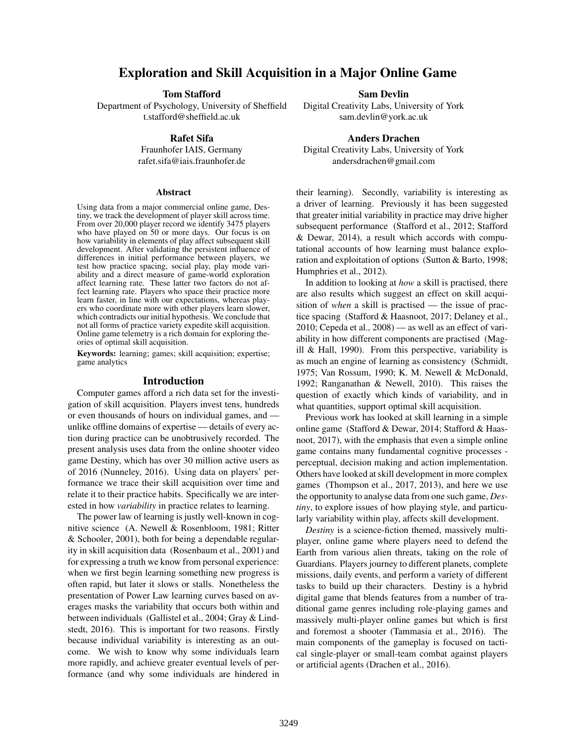# Exploration and Skill Acquisition in a Major Online Game

### Tom Stafford

Department of Psychology, University of Sheffield t.stafford@sheffield.ac.uk

## Rafet Sifa

Fraunhofer IAIS, Germany rafet.sifa@iais.fraunhofer.de

#### Abstract

Using data from a major commercial online game, Destiny, we track the development of player skill across time. From over 20,000 player record we identify 3475 players who have played on 50 or more days. Our focus is on how variability in elements of play affect subsequent skill development. After validating the persistent influence of differences in initial performance between players, we test how practice spacing, social play, play mode variability and a direct measure of game-world exploration affect learning rate. These latter two factors do not affect learning rate. Players who space their practice more learn faster, in line with our expectations, whereas players who coordinate more with other players learn slower, which contradicts our initial hypothesis. We conclude that not all forms of practice variety expedite skill acquisition. Online game telemetry is a rich domain for exploring theories of optimal skill acquisition.

Keywords: learning; games; skill acquisition; expertise; game analytics

#### Introduction

Computer games afford a rich data set for the investigation of skill acquisition. Players invest tens, hundreds or even thousands of hours on individual games, and unlike offline domains of expertise — details of every action during practice can be unobtrusively recorded. The present analysis uses data from the online shooter video game Destiny, which has over 30 million active users as of 2016 (Nunneley, 2016). Using data on players' performance we trace their skill acquisition over time and relate it to their practice habits. Specifically we are interested in how *variability* in practice relates to learning.

The power law of learning is justly well-known in cognitive science (A. Newell & Rosenbloom, 1981; Ritter & Schooler, 2001), both for being a dependable regularity in skill acquisition data (Rosenbaum et al., 2001) and for expressing a truth we know from personal experience: when we first begin learning something new progress is often rapid, but later it slows or stalls. Nonetheless the presentation of Power Law learning curves based on averages masks the variability that occurs both within and between individuals (Gallistel et al., 2004; Gray & Lindstedt, 2016). This is important for two reasons. Firstly because individual variability is interesting as an outcome. We wish to know why some individuals learn more rapidly, and achieve greater eventual levels of performance (and why some individuals are hindered in Sam Devlin

Digital Creativity Labs, University of York sam.devlin@york.ac.uk

Anders Drachen Digital Creativity Labs, University of York andersdrachen@gmail.com

their learning). Secondly, variability is interesting as a driver of learning. Previously it has been suggested that greater initial variability in practice may drive higher subsequent performance (Stafford et al., 2012; Stafford & Dewar, 2014), a result which accords with computational accounts of how learning must balance exploration and exploitation of options (Sutton & Barto, 1998; Humphries et al., 2012).

In addition to looking at *how* a skill is practised, there are also results which suggest an effect on skill acquisition of *when* a skill is practised — the issue of practice spacing (Stafford & Haasnoot, 2017; Delaney et al., 2010; Cepeda et al., 2008) — as well as an effect of variability in how different components are practised (Magill & Hall, 1990). From this perspective, variability is as much an engine of learning as consistency (Schmidt, 1975; Van Rossum, 1990; K. M. Newell & McDonald, 1992; Ranganathan & Newell, 2010). This raises the question of exactly which kinds of variability, and in what quantities, support optimal skill acquisition.

Previous work has looked at skill learning in a simple online game (Stafford & Dewar, 2014; Stafford & Haasnoot, 2017), with the emphasis that even a simple online game contains many fundamental cognitive processes perceptual, decision making and action implementation. Others have looked at skill development in more complex games (Thompson et al., 2017, 2013), and here we use the opportunity to analyse data from one such game, *Destiny*, to explore issues of how playing style, and particularly variability within play, affects skill development.

*Destiny* is a science-fiction themed, massively multiplayer, online game where players need to defend the Earth from various alien threats, taking on the role of Guardians. Players journey to different planets, complete missions, daily events, and perform a variety of different tasks to build up their characters. Destiny is a hybrid digital game that blends features from a number of traditional game genres including role-playing games and massively multi-player online games but which is first and foremost a shooter (Tammasia et al., 2016). The main components of the gameplay is focused on tactical single-player or small-team combat against players or artificial agents (Drachen et al., 2016).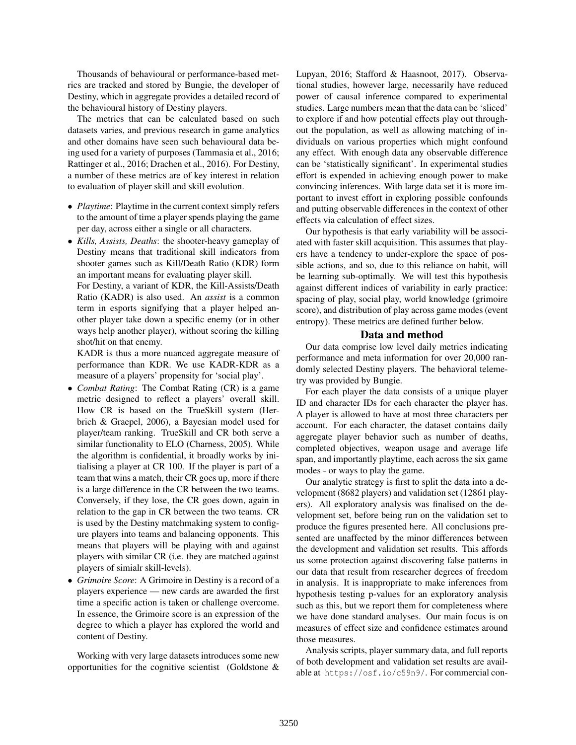Thousands of behavioural or performance-based metrics are tracked and stored by Bungie, the developer of Destiny, which in aggregate provides a detailed record of the behavioural history of Destiny players.

The metrics that can be calculated based on such datasets varies, and previous research in game analytics and other domains have seen such behavioural data being used for a variety of purposes (Tammasia et al., 2016; Rattinger et al., 2016; Drachen et al., 2016). For Destiny, a number of these metrics are of key interest in relation to evaluation of player skill and skill evolution.

- *Playtime*: Playtime in the current context simply refers to the amount of time a player spends playing the game per day, across either a single or all characters.
- *Kills, Assists, Deaths*: the shooter-heavy gameplay of Destiny means that traditional skill indicators from shooter games such as Kill/Death Ratio (KDR) form an important means for evaluating player skill.

For Destiny, a variant of KDR, the Kill-Assists/Death Ratio (KADR) is also used. An *assist* is a common term in esports signifying that a player helped another player take down a specific enemy (or in other ways help another player), without scoring the killing shot/hit on that enemy.

KADR is thus a more nuanced aggregate measure of performance than KDR. We use KADR-KDR as a measure of a players' propensity for 'social play'.

- *Combat Rating*: The Combat Rating (CR) is a game metric designed to reflect a players' overall skill. How CR is based on the TrueSkill system (Herbrich & Graepel, 2006), a Bayesian model used for player/team ranking. TrueSkill and CR both serve a similar functionality to ELO (Charness, 2005). While the algorithm is confidential, it broadly works by initialising a player at CR 100. If the player is part of a team that wins a match, their CR goes up, more if there is a large difference in the CR between the two teams. Conversely, if they lose, the CR goes down, again in relation to the gap in CR between the two teams. CR is used by the Destiny matchmaking system to configure players into teams and balancing opponents. This means that players will be playing with and against players with similar CR (i.e. they are matched against players of simialr skill-levels).
- *Grimoire Score*: A Grimoire in Destiny is a record of a players experience — new cards are awarded the first time a specific action is taken or challenge overcome. In essence, the Grimoire score is an expression of the degree to which a player has explored the world and content of Destiny.

Working with very large datasets introduces some new opportunities for the cognitive scientist (Goldstone & Lupyan, 2016; Stafford & Haasnoot, 2017). Observational studies, however large, necessarily have reduced power of causal inference compared to experimental studies. Large numbers mean that the data can be 'sliced' to explore if and how potential effects play out throughout the population, as well as allowing matching of individuals on various properties which might confound any effect. With enough data any observable difference can be 'statistically significant'. In experimental studies effort is expended in achieving enough power to make convincing inferences. With large data set it is more important to invest effort in exploring possible confounds and putting observable differences in the context of other effects via calculation of effect sizes.

Our hypothesis is that early variability will be associated with faster skill acquisition. This assumes that players have a tendency to under-explore the space of possible actions, and so, due to this reliance on habit, will be learning sub-optimally. We will test this hypothesis against different indices of variability in early practice: spacing of play, social play, world knowledge (grimoire score), and distribution of play across game modes (event entropy). These metrics are defined further below.

### Data and method

Our data comprise low level daily metrics indicating performance and meta information for over 20,000 randomly selected Destiny players. The behavioral telemetry was provided by Bungie.

For each player the data consists of a unique player ID and character IDs for each character the player has. A player is allowed to have at most three characters per account. For each character, the dataset contains daily aggregate player behavior such as number of deaths, completed objectives, weapon usage and average life span, and importantly playtime, each across the six game modes - or ways to play the game.

Our analytic strategy is first to split the data into a development (8682 players) and validation set (12861 players). All exploratory analysis was finalised on the development set, before being run on the validation set to produce the figures presented here. All conclusions presented are unaffected by the minor differences between the development and validation set results. This affords us some protection against discovering false patterns in our data that result from researcher degrees of freedom in analysis. It is inappropriate to make inferences from hypothesis testing p-values for an exploratory analysis such as this, but we report them for completeness where we have done standard analyses. Our main focus is on measures of effect size and confidence estimates around those measures.

Analysis scripts, player summary data, and full reports of both development and validation set results are available at https://osf.io/c59n9/. For commercial con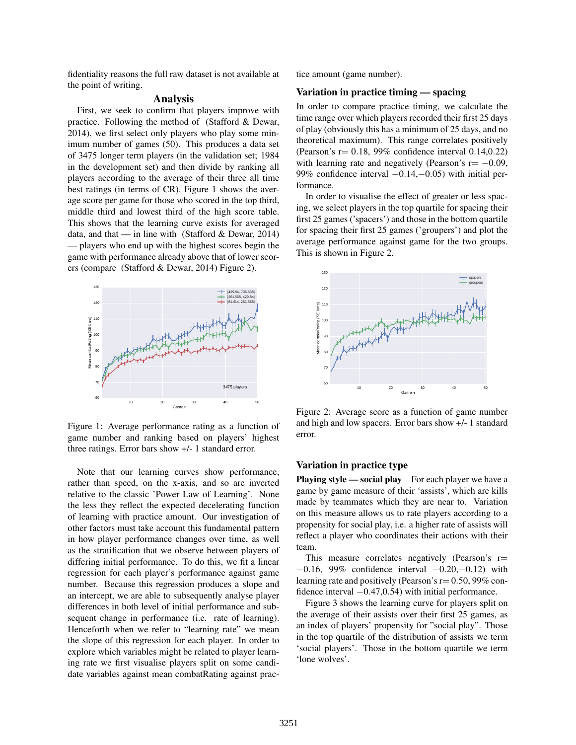fidentiality reasons the full raw dataset is not available at the point of writing.

### Analysis

First, we seek to confirm that players improve with practice. Following the method of (Stafford & Dewar, 2014), we first select only players who play some minimum number of games (50). This produces a data set of 3475 longer term players (in the validation set; 1984 in the development set) and then divide by ranking all players according to the average of their three all time best ratings (in terms of CR). Figure 1 shows the average score per game for those who scored in the top third, middle third and lowest third of the high score table. This shows that the learning curve exists for averaged data, and that — in line with (Stafford & Dewar, 2014) — players who end up with the highest scores begin the game with performance already above that of lower scorers (compare (Stafford & Dewar, 2014) Figure 2).



Figure 1: Average performance rating as a function of game number and ranking based on players' highest three ratings. Error bars show +/- 1 standard error.

Note that our learning curves show performance, rather than speed, on the x-axis, and so are inverted relative to the classic 'Power Law of Learning'. None the less they reflect the expected decelerating function of learning with practice amount. Our investigation of other factors must take account this fundamental pattern in how player performance changes over time, as well as the stratification that we observe between players of differing initial performance. To do this, we fit a linear regression for each player's performance against game number. Because this regression produces a slope and an intercept, we are able to subsequently analyse player differences in both level of initial performance and subsequent change in performance (i.e. rate of learning). Henceforth when we refer to "learning rate" we mean the slope of this regression for each player. In order to explore which variables might be related to player learning rate we first visualise players split on some candidate variables against mean combatRating against practice amount (game number).

# Variation in practice timing — spacing

In order to compare practice timing, we calculate the time range over which players recorded their first 25 days of play (obviously this has a minimum of 25 days, and no theoretical maximum). This range correlates positively (Pearson's  $r = 0.18$ , 99% confidence interval  $0.14$ , 0.22) with learning rate and negatively (Pearson's  $r = -0.09$ , 99% confidence interval −0.14,−0.05) with initial performance.

In order to visualise the effect of greater or less spacing, we select players in the top quartile for spacing their first 25 games ('spacers') and those in the bottom quartile for spacing their first 25 games ('groupers') and plot the average performance against game for the two groups. This is shown in Figure 2.



Figure 2: Average score as a function of game number and high and low spacers. Error bars show +/- 1 standard error.

# Variation in practice type

Playing style — social play For each player we have a game by game measure of their 'assists', which are kills made by teammates which they are near to. Variation on this measure allows us to rate players according to a propensity for social play, i.e. a higher rate of assists will reflect a player who coordinates their actions with their team.

This measure correlates negatively (Pearson's  $r=$ −0.16, 99% confidence interval −0.20,−0.12) with learning rate and positively (Pearson's  $r = 0.50$ , 99% confidence interval −0.47,0.54) with initial performance.

Figure 3 shows the learning curve for players split on the average of their assists over their first 25 games, as an index of players' propensity for "social play". Those in the top quartile of the distribution of assists we term 'social players'. Those in the bottom quartile we term 'lone wolves'.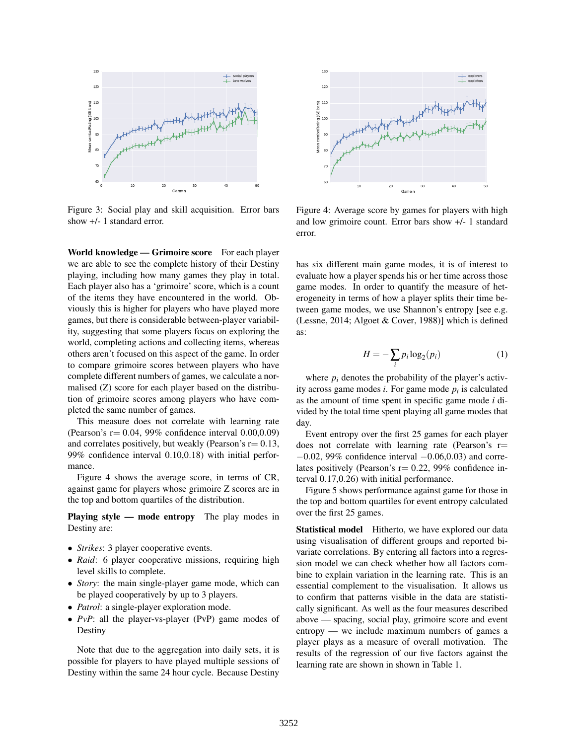

Figure 3: Social play and skill acquisition. Error bars show +/- 1 standard error.

World knowledge — Grimoire score For each player we are able to see the complete history of their Destiny playing, including how many games they play in total. Each player also has a 'grimoire' score, which is a count of the items they have encountered in the world. Obviously this is higher for players who have played more games, but there is considerable between-player variability, suggesting that some players focus on exploring the world, completing actions and collecting items, whereas others aren't focused on this aspect of the game. In order to compare grimoire scores between players who have complete different numbers of games, we calculate a normalised (Z) score for each player based on the distribution of grimoire scores among players who have completed the same number of games.

This measure does not correlate with learning rate (Pearson's  $r = 0.04$ , 99% confidence interval  $0.00$ , $0.09$ ) and correlates positively, but weakly (Pearson's  $r = 0.13$ , 99% confidence interval 0.10,0.18) with initial performance.

Figure 4 shows the average score, in terms of CR, against game for players whose grimoire Z scores are in the top and bottom quartiles of the distribution.

Playing style — mode entropy The play modes in Destiny are:

- *Strikes*: 3 player cooperative events.
- *Raid*: 6 player cooperative missions, requiring high level skills to complete.
- *Story*: the main single-player game mode, which can be played cooperatively by up to 3 players.
- *Patrol*: a single-player exploration mode.
- *PvP*: all the player-vs-player (PvP) game modes of Destiny

Note that due to the aggregation into daily sets, it is possible for players to have played multiple sessions of Destiny within the same 24 hour cycle. Because Destiny



Figure 4: Average score by games for players with high and low grimoire count. Error bars show +/- 1 standard error.

has six different main game modes, it is of interest to evaluate how a player spends his or her time across those game modes. In order to quantify the measure of heterogeneity in terms of how a player splits their time between game modes, we use Shannon's entropy [see e.g. (Lessne, 2014; Algoet & Cover, 1988)] which is defined as:

$$
H = -\sum_{i} p_i \log_2(p_i) \tag{1}
$$

where  $p_i$  denotes the probability of the player's activity across game modes *i*. For game mode *p<sup>i</sup>* is calculated as the amount of time spent in specific game mode *i* divided by the total time spent playing all game modes that day.

Event entropy over the first 25 games for each player does not correlate with learning rate (Pearson's r=  $-0.02$ , 99% confidence interval  $-0.06$ , 0.03) and correlates positively (Pearson's  $r = 0.22$ , 99% confidence interval 0.17,0.26) with initial performance.

Figure 5 shows performance against game for those in the top and bottom quartiles for event entropy calculated over the first 25 games.

Statistical model Hitherto, we have explored our data using visualisation of different groups and reported bivariate correlations. By entering all factors into a regression model we can check whether how all factors combine to explain variation in the learning rate. This is an essential complement to the visualisation. It allows us to confirm that patterns visible in the data are statistically significant. As well as the four measures described above — spacing, social play, grimoire score and event entropy — we include maximum numbers of games a player plays as a measure of overall motivation. The results of the regression of our five factors against the learning rate are shown in shown in Table 1.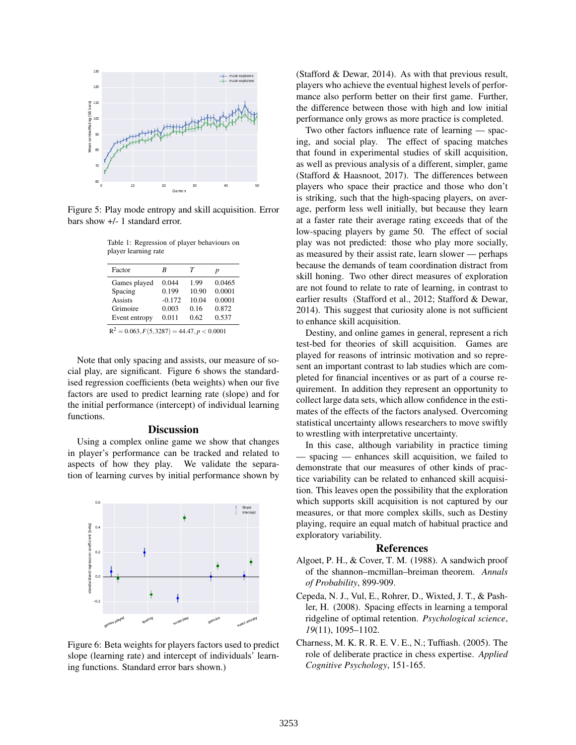

Figure 5: Play mode entropy and skill acquisition. Error bars show +/- 1 standard error.

Table 1: Regression of player behaviours on player learning rate

| Factor         | R        | Т     | р      |
|----------------|----------|-------|--------|
| Games played   | 0.044    | 1.99  | 0.0465 |
| Spacing        | 0.199    | 10.90 | 0.0001 |
| <b>Assists</b> | $-0.172$ | 10.04 | 0.0001 |
| Grimoire       | 0.003    | 0.16  | 0.872  |
| Event entropy  | 0.011    | 0.62  | 0.537  |
|                |          |       |        |

 $R^2 = 0.063, F(5,3287) = 44.47, p < 0.0001$ 

Note that only spacing and assists, our measure of social play, are significant. Figure 6 shows the standardised regression coefficients (beta weights) when our five factors are used to predict learning rate (slope) and for the initial performance (intercept) of individual learning functions.

#### **Discussion**

Using a complex online game we show that changes in player's performance can be tracked and related to aspects of how they play. We validate the separation of learning curves by initial performance shown by



Figure 6: Beta weights for players factors used to predict slope (learning rate) and intercept of individuals' learning functions. Standard error bars shown.)

(Stafford & Dewar, 2014). As with that previous result, players who achieve the eventual highest levels of performance also perform better on their first game. Further, the difference between those with high and low initial performance only grows as more practice is completed.

Two other factors influence rate of learning — spacing, and social play. The effect of spacing matches that found in experimental studies of skill acquisition, as well as previous analysis of a different, simpler, game (Stafford & Haasnoot, 2017). The differences between players who space their practice and those who don't is striking, such that the high-spacing players, on average, perform less well initially, but because they learn at a faster rate their average rating exceeds that of the low-spacing players by game 50. The effect of social play was not predicted: those who play more socially, as measured by their assist rate, learn slower — perhaps because the demands of team coordination distract from skill honing. Two other direct measures of exploration are not found to relate to rate of learning, in contrast to earlier results (Stafford et al., 2012; Stafford & Dewar, 2014). This suggest that curiosity alone is not sufficient to enhance skill acquisition.

Destiny, and online games in general, represent a rich test-bed for theories of skill acquisition. Games are played for reasons of intrinsic motivation and so represent an important contrast to lab studies which are completed for financial incentives or as part of a course requirement. In addition they represent an opportunity to collect large data sets, which allow confidence in the estimates of the effects of the factors analysed. Overcoming statistical uncertainty allows researchers to move swiftly to wrestling with interpretative uncertainty.

In this case, although variability in practice timing — spacing — enhances skill acquisition, we failed to demonstrate that our measures of other kinds of practice variability can be related to enhanced skill acquisition. This leaves open the possibility that the exploration which supports skill acquisition is not captured by our measures, or that more complex skills, such as Destiny playing, require an equal match of habitual practice and exploratory variability.

#### References

- Algoet, P. H., & Cover, T. M. (1988). A sandwich proof of the shannon–mcmillan–breiman theorem. *Annals of Probability*, 899-909.
- Cepeda, N. J., Vul, E., Rohrer, D., Wixted, J. T., & Pashler, H. (2008). Spacing effects in learning a temporal ridgeline of optimal retention. *Psychological science*, *19*(11), 1095–1102.
- Charness, M. K. R. R. E. V. E., N.; Tuffiash. (2005). The role of deliberate practice in chess expertise. *Applied Cognitive Psychology*, 151-165.